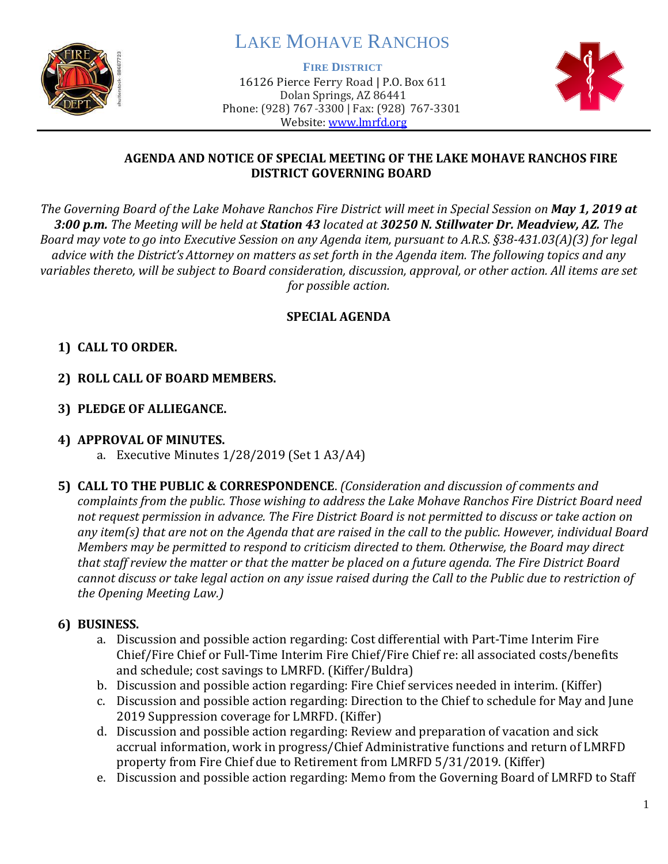

# LAKE MOHAVE RANCHOS

**FIRE DISTRICT**

16126 Pierce Ferry Road | P.O. Box 611 Dolan Springs, AZ 86441 Phone: (928) 767-3300 | Fax: (928) 767-3301 Website: [www.lmrfd.org](http://www.lmrfd.org/)



#### **AGENDA AND NOTICE OF SPECIAL MEETING OF THE LAKE MOHAVE RANCHOS FIRE DISTRICT GOVERNING BOARD**

*The Governing Board of the Lake Mohave Ranchos Fire District will meet in Special Session on May 1, 2019 at 3:00 p.m. The Meeting will be held at Station 43 located at 30250 N. Stillwater Dr. Meadview, AZ. The Board may vote to go into Executive Session on any Agenda item, pursuant to A.R.S. §38-431.03(A)(3) for legal advice with the District's Attorney on matters as set forth in the Agenda item. The following topics and any variables thereto, will be subject to Board consideration, discussion, approval, or other action. All items are set for possible action.*

## **SPECIAL AGENDA**

# **1) CALL TO ORDER.**

- **2) ROLL CALL OF BOARD MEMBERS.**
- **3) PLEDGE OF ALLIEGANCE.**

#### **4) APPROVAL OF MINUTES.**

- a. Executive Minutes 1/28/2019 (Set 1 A3/A4)
- **5) CALL TO THE PUBLIC & CORRESPONDENCE**. *(Consideration and discussion of comments and complaints from the public. Those wishing to address the Lake Mohave Ranchos Fire District Board need not request permission in advance. The Fire District Board is not permitted to discuss or take action on any item(s) that are not on the Agenda that are raised in the call to the public. However, individual Board Members may be permitted to respond to criticism directed to them. Otherwise, the Board may direct that staff review the matter or that the matter be placed on a future agenda. The Fire District Board cannot discuss or take legal action on any issue raised during the Call to the Public due to restriction of the Opening Meeting Law.)*

## **6) BUSINESS.**

- a. Discussion and possible action regarding: Cost differential with Part-Time Interim Fire Chief/Fire Chief or Full-Time Interim Fire Chief/Fire Chief re: all associated costs/benefits and schedule; cost savings to LMRFD. (Kiffer/Buldra)
- b. Discussion and possible action regarding: Fire Chief services needed in interim. (Kiffer)
- c. Discussion and possible action regarding: Direction to the Chief to schedule for May and June 2019 Suppression coverage for LMRFD. (Kiffer)
- d. Discussion and possible action regarding: Review and preparation of vacation and sick accrual information, work in progress/Chief Administrative functions and return of LMRFD property from Fire Chief due to Retirement from LMRFD 5/31/2019. (Kiffer)
- e. Discussion and possible action regarding: Memo from the Governing Board of LMRFD to Staff